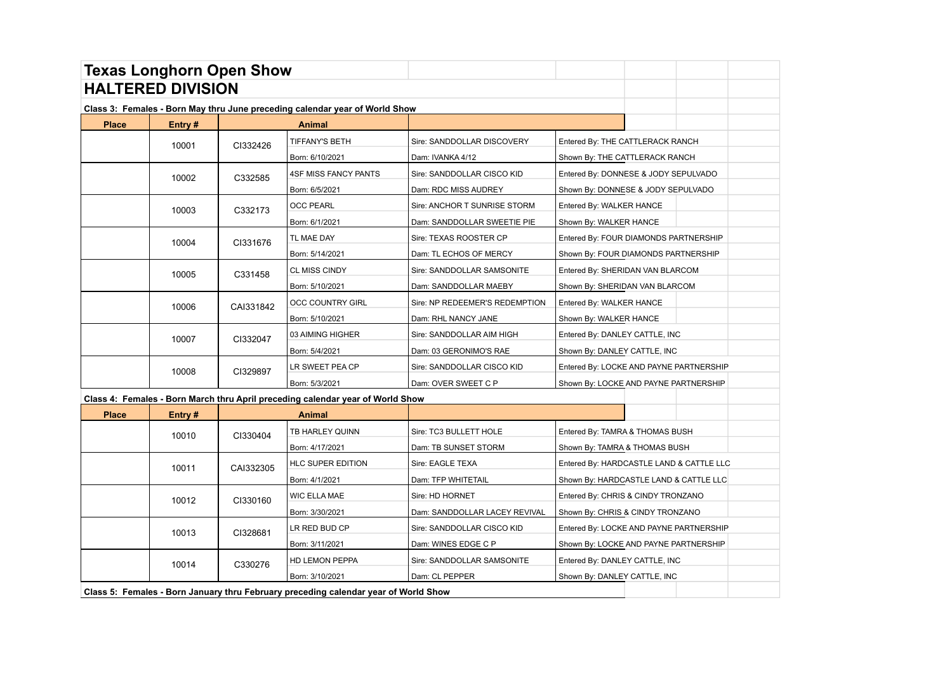| <b>Texas Longhorn Open Show</b>                                             |                          |           |                                                                                     |                                |                                          |  |  |
|-----------------------------------------------------------------------------|--------------------------|-----------|-------------------------------------------------------------------------------------|--------------------------------|------------------------------------------|--|--|
|                                                                             | <b>HALTERED DIVISION</b> |           |                                                                                     |                                |                                          |  |  |
| Class 3: Females - Born May thru June preceding calendar year of World Show |                          |           |                                                                                     |                                |                                          |  |  |
| <b>Place</b>                                                                | Entry #                  |           | Animal                                                                              |                                |                                          |  |  |
|                                                                             | 10001                    | CI332426  | TIFFANY'S BETH                                                                      | Sire: SANDDOLLAR DISCOVERY     | Entered By: THE CATTLERACK RANCH         |  |  |
|                                                                             |                          |           | Born: 6/10/2021                                                                     | Dam: IVANKA 4/12               | Shown By: THE CATTLERACK RANCH           |  |  |
|                                                                             | 10002                    | C332585   | <b>4SF MISS FANCY PANTS</b>                                                         | Sire: SANDDOLLAR CISCO KID     | Entered By: DONNESE & JODY SEPULVADO     |  |  |
|                                                                             |                          |           | Born: 6/5/2021                                                                      | Dam: RDC MISS AUDREY           | Shown By: DONNESE & JODY SEPULVADO       |  |  |
|                                                                             | 10003                    | C332173   | <b>OCC PEARL</b>                                                                    | Sire: ANCHOR T SUNRISE STORM   | Entered By: WALKER HANCE                 |  |  |
|                                                                             |                          |           | Born: 6/1/2021                                                                      | Dam: SANDDOLLAR SWEETIE PIE    | Shown By: WALKER HANCE                   |  |  |
|                                                                             | 10004                    | CI331676  | TL MAE DAY                                                                          | Sire: TEXAS ROOSTER CP         | Entered By: FOUR DIAMONDS PARTNERSHIP    |  |  |
|                                                                             |                          |           | Born: 5/14/2021                                                                     | Dam: TL ECHOS OF MERCY         | Shown By: FOUR DIAMONDS PARTNERSHIP      |  |  |
|                                                                             | 10005                    | C331458   | <b>CL MISS CINDY</b>                                                                | Sire: SANDDOLLAR SAMSONITE     | Entered By: SHERIDAN VAN BLARCOM         |  |  |
|                                                                             |                          |           | Born: 5/10/2021                                                                     | Dam: SANDDOLLAR MAEBY          | Shown By: SHERIDAN VAN BLARCOM           |  |  |
|                                                                             | 10006                    | CAI331842 | <b>OCC COUNTRY GIRL</b>                                                             | Sire: NP REDEEMER'S REDEMPTION | Entered By: WALKER HANCE                 |  |  |
|                                                                             |                          |           | Born: 5/10/2021                                                                     | Dam: RHL NANCY JANE            | Shown By: WALKER HANCE                   |  |  |
|                                                                             | 10007                    | CI332047  | 03 AIMING HIGHER                                                                    | Sire: SANDDOLLAR AIM HIGH      | Entered By: DANLEY CATTLE, INC           |  |  |
|                                                                             |                          |           | Born: 5/4/2021                                                                      | Dam: 03 GERONIMO'S RAE         | Shown By: DANLEY CATTLE, INC             |  |  |
|                                                                             | 10008                    | CI329897  | LR SWEET PEA CP                                                                     | Sire: SANDDOLLAR CISCO KID     | Entered By: LOCKE AND PAYNE PARTNERSHIP  |  |  |
|                                                                             |                          |           | Born: 5/3/2021                                                                      | Dam: OVER SWEET C P            | Shown By: LOCKE AND PAYNE PARTNERSHIP    |  |  |
|                                                                             |                          |           | Class 4: Females - Born March thru April preceding calendar year of World Show      |                                |                                          |  |  |
| <b>Place</b>                                                                | Entry#                   |           | <b>Animal</b>                                                                       |                                |                                          |  |  |
|                                                                             | 10010                    | CI330404  | TB HARLEY QUINN                                                                     | Sire: TC3 BULLETT HOLE         | Entered By: TAMRA & THOMAS BUSH          |  |  |
|                                                                             |                          |           | Born: 4/17/2021                                                                     | Dam: TB SUNSET STORM           | Shown By: TAMRA & THOMAS BUSH            |  |  |
|                                                                             | 10011                    | CAI332305 | HLC SUPER EDITION                                                                   | Sire: EAGLE TEXA               | Entered By: HARDCASTLE LAND & CATTLE LLC |  |  |
|                                                                             |                          |           | Born: 4/1/2021                                                                      | Dam: TFP WHITETAIL             | Shown By: HARDCASTLE LAND & CATTLE LLC   |  |  |
|                                                                             | 10012                    | CI330160  | <b>WIC ELLA MAE</b>                                                                 | Sire: HD HORNET                | Entered By: CHRIS & CINDY TRONZANO       |  |  |
|                                                                             |                          |           | Born: 3/30/2021                                                                     | Dam: SANDDOLLAR LACEY REVIVAL  | Shown By: CHRIS & CINDY TRONZANO         |  |  |
|                                                                             | 10013                    | CI328681  | LR RED BUD CP                                                                       | Sire: SANDDOLLAR CISCO KID     | Entered By: LOCKE AND PAYNE PARTNERSHIP  |  |  |
|                                                                             |                          |           | Born: 3/11/2021                                                                     | Dam: WINES EDGE C P            | Shown By: LOCKE AND PAYNE PARTNERSHIP    |  |  |
|                                                                             | 10014                    | C330276   | HD LEMON PEPPA                                                                      | Sire: SANDDOLLAR SAMSONITE     | Entered By: DANLEY CATTLE, INC           |  |  |
|                                                                             |                          |           | Born: 3/10/2021                                                                     | Dam: CL PEPPER                 | Shown By: DANLEY CATTLE, INC             |  |  |
|                                                                             |                          |           | Class 5: Females - Born January thru February preceding calendar year of World Show |                                |                                          |  |  |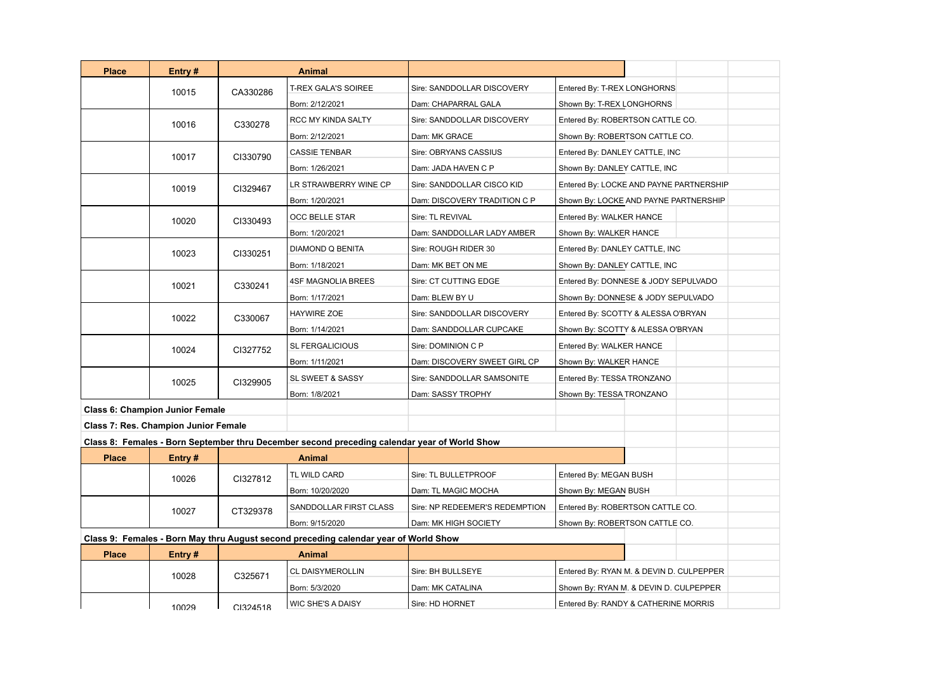| <b>Place</b>                                                                         | Entry#                                 |          | Animal                                                                                       |                                |                                          |
|--------------------------------------------------------------------------------------|----------------------------------------|----------|----------------------------------------------------------------------------------------------|--------------------------------|------------------------------------------|
|                                                                                      | 10015                                  | CA330286 | <b>T-REX GALA'S SOIREE</b>                                                                   | Sire: SANDDOLLAR DISCOVERY     | Entered By: T-REX LONGHORNS              |
|                                                                                      |                                        |          | Born: 2/12/2021                                                                              | Dam: CHAPARRAL GALA            | Shown By: T-REX LONGHORNS                |
|                                                                                      | 10016                                  | C330278  | RCC MY KINDA SALTY                                                                           | Sire: SANDDOLLAR DISCOVERY     | Entered By: ROBERTSON CATTLE CO.         |
|                                                                                      |                                        |          | Born: 2/12/2021                                                                              | Dam: MK GRACE                  | Shown By: ROBERTSON CATTLE CO.           |
|                                                                                      | 10017                                  | CI330790 | <b>CASSIE TENBAR</b>                                                                         | Sire: OBRYANS CASSIUS          | Entered By: DANLEY CATTLE, INC           |
|                                                                                      |                                        |          | Born: 1/26/2021                                                                              | Dam: JADA HAVEN C P            | Shown By: DANLEY CATTLE, INC             |
|                                                                                      | 10019                                  | CI329467 | LR STRAWBERRY WINE CP                                                                        | Sire: SANDDOLLAR CISCO KID     | Entered By: LOCKE AND PAYNE PARTNERSHIP  |
|                                                                                      |                                        |          | Born: 1/20/2021                                                                              | Dam: DISCOVERY TRADITION C P   | Shown By: LOCKE AND PAYNE PARTNERSHIP    |
|                                                                                      | 10020<br>CI330493                      |          | OCC BELLE STAR                                                                               | Sire: TL REVIVAL               | Entered By: WALKER HANCE                 |
|                                                                                      |                                        |          | Born: 1/20/2021                                                                              | Dam: SANDDOLLAR LADY AMBER     | Shown By: WALKER HANCE                   |
|                                                                                      | 10023                                  | CI330251 | DIAMOND Q BENITA                                                                             | Sire: ROUGH RIDER 30           | Entered By: DANLEY CATTLE, INC           |
|                                                                                      |                                        |          | Born: 1/18/2021                                                                              | Dam: MK BET ON ME              | Shown By: DANLEY CATTLE, INC             |
|                                                                                      | 10021<br>C330241                       |          | <b>4SF MAGNOLIA BREES</b>                                                                    | Sire: CT CUTTING EDGE          | Entered By: DONNESE & JODY SEPULVADO     |
|                                                                                      |                                        |          | Born: 1/17/2021                                                                              | Dam: BLEW BY U                 | Shown By: DONNESE & JODY SEPULVADO       |
|                                                                                      | 10022                                  | C330067  | <b>HAYWIRE ZOE</b>                                                                           | Sire: SANDDOLLAR DISCOVERY     | Entered By: SCOTTY & ALESSA O'BRYAN      |
|                                                                                      |                                        |          | Born: 1/14/2021                                                                              | Dam: SANDDOLLAR CUPCAKE        | Shown By: SCOTTY & ALESSA O'BRYAN        |
|                                                                                      | 10024                                  | CI327752 | <b>SL FERGALICIOUS</b>                                                                       | Sire: DOMINION C P             | Entered By: WALKER HANCE                 |
|                                                                                      |                                        |          | Born: 1/11/2021                                                                              | Dam: DISCOVERY SWEET GIRL CP   | Shown By: WALKER HANCE                   |
|                                                                                      | 10025                                  | CI329905 | SL SWEET & SASSY                                                                             | Sire: SANDDOLLAR SAMSONITE     | Entered By: TESSA TRONZANO               |
|                                                                                      |                                        |          | Born: 1/8/2021                                                                               | Dam: SASSY TROPHY              | Shown By: TESSA TRONZANO                 |
|                                                                                      | <b>Class 6: Champion Junior Female</b> |          |                                                                                              |                                |                                          |
|                                                                                      | Class 7: Res. Champion Junior Female   |          |                                                                                              |                                |                                          |
|                                                                                      |                                        |          | Class 8: Females - Born September thru December second preceding calendar year of World Show |                                |                                          |
| <b>Place</b>                                                                         | Entry#                                 |          | <b>Animal</b>                                                                                |                                |                                          |
|                                                                                      | 10026                                  | CI327812 | TL WILD CARD                                                                                 | Sire: TL BULLETPROOF           | Entered By: MEGAN BUSH                   |
|                                                                                      |                                        |          | Born: 10/20/2020                                                                             | Dam: TL MAGIC MOCHA            | Shown By: MEGAN BUSH                     |
|                                                                                      | 10027                                  | CT329378 | SANDDOLLAR FIRST CLASS                                                                       | Sire: NP REDEEMER'S REDEMPTION | Entered By: ROBERTSON CATTLE CO.         |
|                                                                                      |                                        |          | Born: 9/15/2020                                                                              | Dam: MK HIGH SOCIETY           | Shown By: ROBERTSON CATTLE CO.           |
| Class 9: Females - Born May thru August second preceding calendar year of World Show |                                        |          |                                                                                              |                                |                                          |
| <b>Place</b>                                                                         | Entry #                                |          | <b>Animal</b>                                                                                |                                |                                          |
|                                                                                      | 10028                                  | C325671  | <b>CL DAISYMEROLLIN</b>                                                                      | Sire: BH BULLSEYE              | Entered By: RYAN M. & DEVIN D. CULPEPPER |
|                                                                                      |                                        |          | Born: 5/3/2020                                                                               | Dam: MK CATALINA               | Shown By: RYAN M. & DEVIN D. CULPEPPER   |
|                                                                                      | 10029                                  | CI324518 | WIC SHE'S A DAISY                                                                            | Sire: HD HORNET                | Entered By: RANDY & CATHERINE MORRIS     |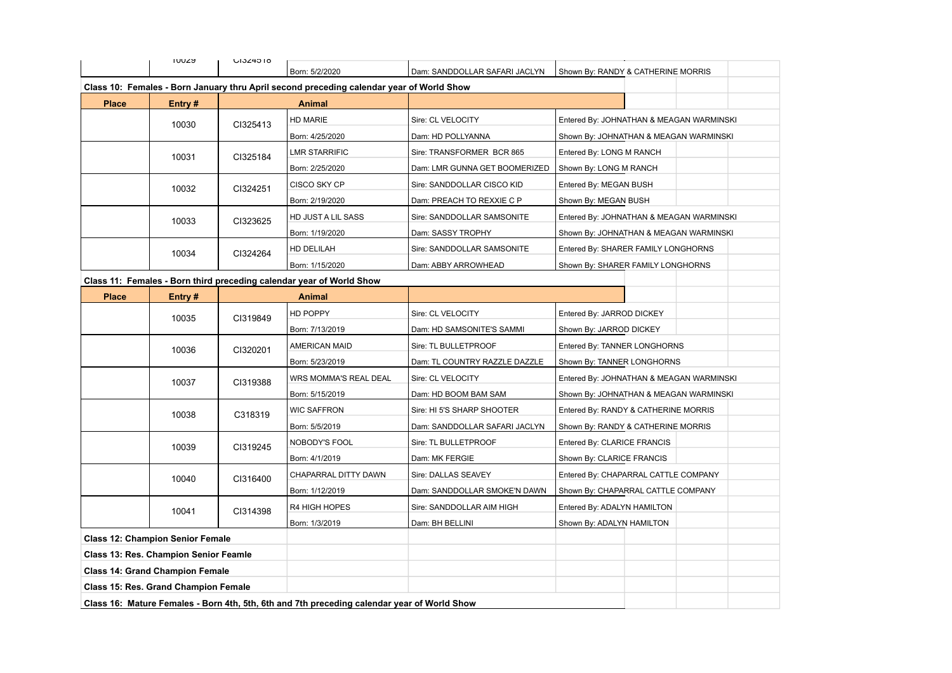|                                                                                             | <b>JOOZS</b>                                 | UI324018       |                                                                                          |                               |                                          |  |  |
|---------------------------------------------------------------------------------------------|----------------------------------------------|----------------|------------------------------------------------------------------------------------------|-------------------------------|------------------------------------------|--|--|
|                                                                                             |                                              |                | Born: 5/2/2020                                                                           | Dam: SANDDOLLAR SAFARI JACLYN | Shown By: RANDY & CATHERINE MORRIS       |  |  |
|                                                                                             |                                              |                | Class 10: Females - Born January thru April second preceding calendar year of World Show |                               |                                          |  |  |
| <b>Place</b>                                                                                | Entry#                                       |                | Animal                                                                                   |                               |                                          |  |  |
|                                                                                             | 10030                                        | CI325413       | HD MARIE                                                                                 | Sire: CL VELOCITY             | Entered By: JOHNATHAN & MEAGAN WARMINSKI |  |  |
|                                                                                             |                                              |                | Born: 4/25/2020                                                                          | Dam: HD POLLYANNA             | Shown By: JOHNATHAN & MEAGAN WARMINSKI   |  |  |
|                                                                                             | 10031                                        | CI325184       | LMR STARRIFIC                                                                            | Sire: TRANSFORMER BCR 865     | Entered By: LONG M RANCH                 |  |  |
|                                                                                             |                                              |                | Born: 2/25/2020                                                                          | Dam: LMR GUNNA GET BOOMERIZED | Shown By: LONG M RANCH                   |  |  |
|                                                                                             | 10032                                        | CI324251       | CISCO SKY CP                                                                             | Sire: SANDDOLLAR CISCO KID    | Entered By: MEGAN BUSH                   |  |  |
|                                                                                             |                                              |                | Born: 2/19/2020                                                                          | Dam: PREACH TO REXXIE C P     | Shown By: MEGAN BUSH                     |  |  |
|                                                                                             | 10033                                        | CI323625       | HD JUST A LIL SASS                                                                       | Sire: SANDDOLLAR SAMSONITE    | Entered By: JOHNATHAN & MEAGAN WARMINSKI |  |  |
|                                                                                             |                                              |                | Born: 1/19/2020                                                                          | Dam: SASSY TROPHY             | Shown By: JOHNATHAN & MEAGAN WARMINSKI   |  |  |
|                                                                                             | 10034                                        | CI324264       | HD DELILAH                                                                               | Sire: SANDDOLLAR SAMSONITE    | Entered By: SHARER FAMILY LONGHORNS      |  |  |
|                                                                                             |                                              |                | Born: 1/15/2020                                                                          | Dam: ABBY ARROWHEAD           | Shown By: SHARER FAMILY LONGHORNS        |  |  |
|                                                                                             |                                              |                | Class 11: Females - Born third preceding calendar year of World Show                     |                               |                                          |  |  |
| <b>Place</b>                                                                                | Entry #                                      |                | <b>Animal</b>                                                                            |                               |                                          |  |  |
|                                                                                             | 10035                                        | CI319849       | HD POPPY                                                                                 | Sire: CL VELOCITY             | Entered By: JARROD DICKEY                |  |  |
|                                                                                             |                                              |                | Born: 7/13/2019                                                                          | Dam: HD SAMSONITE'S SAMMI     | Shown By: JARROD DICKEY                  |  |  |
|                                                                                             | 10036                                        | CI320201       | AMERICAN MAID                                                                            | Sire: TL BULLETPROOF          | Entered By: TANNER LONGHORNS             |  |  |
|                                                                                             |                                              |                | Born: 5/23/2019                                                                          | Dam: TL COUNTRY RAZZLE DAZZLE | Shown By: TANNER LONGHORNS               |  |  |
|                                                                                             | 10037                                        | CI319388       | WRS MOMMA'S REAL DEAL                                                                    | Sire: CL VELOCITY             | Entered By: JOHNATHAN & MEAGAN WARMINSKI |  |  |
|                                                                                             |                                              |                | Born: 5/15/2019                                                                          | Dam: HD BOOM BAM SAM          | Shown By: JOHNATHAN & MEAGAN WARMINSKI   |  |  |
|                                                                                             | 10038                                        | C318319        | WIC SAFFRON                                                                              | Sire: HI 5'S SHARP SHOOTER    | Entered By: RANDY & CATHERINE MORRIS     |  |  |
|                                                                                             |                                              |                | Born: 5/5/2019                                                                           | Dam: SANDDOLLAR SAFARI JACLYN | Shown By: RANDY & CATHERINE MORRIS       |  |  |
|                                                                                             | 10039                                        | CI319245       | NOBODY'S FOOL                                                                            | Sire: TL BULLETPROOF          | Entered By: CLARICE FRANCIS              |  |  |
|                                                                                             |                                              |                | Born: 4/1/2019                                                                           | Dam: MK FERGIE                | Shown By: CLARICE FRANCIS                |  |  |
|                                                                                             | 10040                                        | CI316400       | CHAPARRAL DITTY DAWN                                                                     | Sire: DALLAS SEAVEY           | Entered By: CHAPARRAL CATTLE COMPANY     |  |  |
|                                                                                             |                                              |                | Born: 1/12/2019                                                                          | Dam: SANDDOLLAR SMOKE'N DAWN  | Shown By: CHAPARRAL CATTLE COMPANY       |  |  |
|                                                                                             | 10041                                        | CI314398       | R4 HIGH HOPES                                                                            | Sire: SANDDOLLAR AIM HIGH     | Entered By: ADALYN HAMILTON              |  |  |
|                                                                                             |                                              | Born: 1/3/2019 | Dam: BH BELLINI                                                                          | Shown By: ADALYN HAMILTON     |                                          |  |  |
|                                                                                             | <b>Class 12: Champion Senior Female</b>      |                |                                                                                          |                               |                                          |  |  |
|                                                                                             | <b>Class 13: Res. Champion Senior Feamle</b> |                |                                                                                          |                               |                                          |  |  |
|                                                                                             | <b>Class 14: Grand Champion Female</b>       |                |                                                                                          |                               |                                          |  |  |
|                                                                                             | <b>Class 15: Res. Grand Champion Female</b>  |                |                                                                                          |                               |                                          |  |  |
| Class 16: Mature Females - Born 4th, 5th, 6th and 7th preceding calendar year of World Show |                                              |                |                                                                                          |                               |                                          |  |  |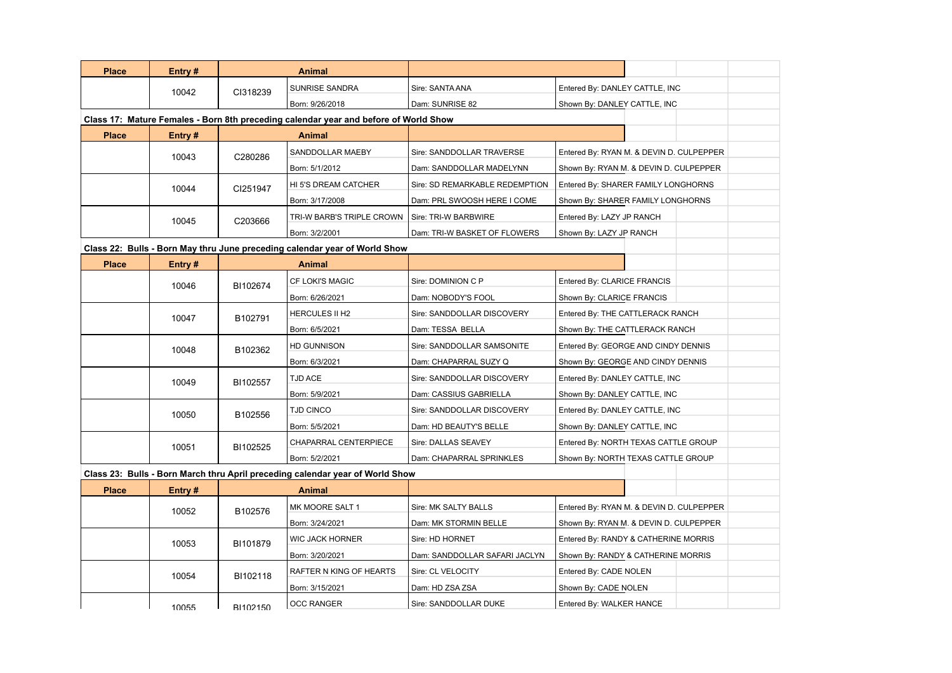| <b>Place</b><br>Entry#<br><b>Animal</b><br>SUNRISE SANDRA<br>Sire: SANTA ANA<br>Entered By: DANLEY CATTLE, INC<br>10042<br>CI318239<br>Born: 9/26/2018<br>Dam: SUNRISE 82<br>Shown By: DANLEY CATTLE, INC<br>Class 17: Mature Females - Born 8th preceding calendar year and before of World Show<br><b>Place</b><br>Entry#<br><b>Animal</b><br>SANDDOLLAR MAEBY<br>Sire: SANDDOLLAR TRAVERSE<br>Entered By: RYAN M. & DEVIN D. CULPEPPER<br>10043<br>C280286<br>Born: 5/1/2012<br>Dam: SANDDOLLAR MADELYNN<br>Shown By: RYAN M. & DEVIN D. CULPEPPER<br>HI 5'S DREAM CATCHER<br>Sire: SD REMARKABLE REDEMPTION<br>Entered By: SHARER FAMILY LONGHORNS<br>10044<br>CI251947<br>Born: 3/17/2008<br>Dam: PRL SWOOSH HERE I COME<br>Shown By: SHARER FAMILY LONGHORNS<br>TRI-W BARB'S TRIPLE CROWN<br>Sire: TRI-W BARBWIRE<br>Entered By: LAZY JP RANCH<br>10045<br>C203666<br>Shown By: LAZY JP RANCH<br>Born: 3/2/2001<br>Dam: TRI-W BASKET OF FLOWERS<br>Class 22: Bulls - Born May thru June preceding calendar year of World Show<br><b>Place</b><br>Entry#<br>Animal<br>CF LOKI'S MAGIC<br>Sire: DOMINION C P<br>Entered By: CLARICE FRANCIS<br>10046<br>BI102674<br>Born: 6/26/2021<br>Shown By: CLARICE FRANCIS<br>Dam: NOBODY'S FOOL<br><b>HERCULES II H2</b><br>Sire: SANDDOLLAR DISCOVERY<br>Entered By: THE CATTLERACK RANCH<br>10047<br>B102791<br>Born: 6/5/2021<br>Dam: TESSA BELLA<br>Shown By: THE CATTLERACK RANCH<br><b>HD GUNNISON</b><br>Sire: SANDDOLLAR SAMSONITE<br>Entered By: GEORGE AND CINDY DENNIS<br>10048<br>B102362<br>Born: 6/3/2021<br>Shown By: GEORGE AND CINDY DENNIS<br>Dam: CHAPARRAL SUZY Q<br><b>TJD ACE</b><br>Sire: SANDDOLLAR DISCOVERY<br>Entered By: DANLEY CATTLE, INC<br>10049<br>BI102557<br>Born: 5/9/2021<br>Dam: CASSIUS GABRIELLA<br>Shown By: DANLEY CATTLE, INC<br>TJD CINCO<br>Sire: SANDDOLLAR DISCOVERY<br>Entered By: DANLEY CATTLE, INC<br>10050<br>B102556<br>Born: 5/5/2021<br>Dam: HD BEAUTY'S BELLE<br>Shown By: DANLEY CATTLE, INC<br>CHAPARRAL CENTERPIECE<br>Sire: DALLAS SEAVEY<br>Entered By: NORTH TEXAS CATTLE GROUP<br>10051<br>BI102525<br>Born: 5/2/2021<br>Dam: CHAPARRAL SPRINKLES<br>Shown By: NORTH TEXAS CATTLE GROUP<br>Class 23: Bulls - Born March thru April preceding calendar year of World Show<br><b>Place</b><br>Entry#<br>Animal<br>MK MOORE SALT 1<br>Sire: MK SALTY BALLS<br>Entered By: RYAN M. & DEVIN D. CULPEPPER<br>10052<br>B102576<br>Born: 3/24/2021<br>Shown By: RYAN M. & DEVIN D. CULPEPPER<br>Dam: MK STORMIN BELLE<br><b>WIC JACK HORNER</b><br>Sire: HD HORNET<br>Entered By: RANDY & CATHERINE MORRIS |       |          |  |  |  |  |  |
|--------------------------------------------------------------------------------------------------------------------------------------------------------------------------------------------------------------------------------------------------------------------------------------------------------------------------------------------------------------------------------------------------------------------------------------------------------------------------------------------------------------------------------------------------------------------------------------------------------------------------------------------------------------------------------------------------------------------------------------------------------------------------------------------------------------------------------------------------------------------------------------------------------------------------------------------------------------------------------------------------------------------------------------------------------------------------------------------------------------------------------------------------------------------------------------------------------------------------------------------------------------------------------------------------------------------------------------------------------------------------------------------------------------------------------------------------------------------------------------------------------------------------------------------------------------------------------------------------------------------------------------------------------------------------------------------------------------------------------------------------------------------------------------------------------------------------------------------------------------------------------------------------------------------------------------------------------------------------------------------------------------------------------------------------------------------------------------------------------------------------------------------------------------------------------------------------------------------------------------------------------------------------------------------------------------------------------------------------------------------------------------------------------------------------------------------------------------------------------------------------------------------------------------------------------------------------------------------------------------|-------|----------|--|--|--|--|--|
|                                                                                                                                                                                                                                                                                                                                                                                                                                                                                                                                                                                                                                                                                                                                                                                                                                                                                                                                                                                                                                                                                                                                                                                                                                                                                                                                                                                                                                                                                                                                                                                                                                                                                                                                                                                                                                                                                                                                                                                                                                                                                                                                                                                                                                                                                                                                                                                                                                                                                                                                                                                                              |       |          |  |  |  |  |  |
|                                                                                                                                                                                                                                                                                                                                                                                                                                                                                                                                                                                                                                                                                                                                                                                                                                                                                                                                                                                                                                                                                                                                                                                                                                                                                                                                                                                                                                                                                                                                                                                                                                                                                                                                                                                                                                                                                                                                                                                                                                                                                                                                                                                                                                                                                                                                                                                                                                                                                                                                                                                                              |       |          |  |  |  |  |  |
|                                                                                                                                                                                                                                                                                                                                                                                                                                                                                                                                                                                                                                                                                                                                                                                                                                                                                                                                                                                                                                                                                                                                                                                                                                                                                                                                                                                                                                                                                                                                                                                                                                                                                                                                                                                                                                                                                                                                                                                                                                                                                                                                                                                                                                                                                                                                                                                                                                                                                                                                                                                                              |       |          |  |  |  |  |  |
|                                                                                                                                                                                                                                                                                                                                                                                                                                                                                                                                                                                                                                                                                                                                                                                                                                                                                                                                                                                                                                                                                                                                                                                                                                                                                                                                                                                                                                                                                                                                                                                                                                                                                                                                                                                                                                                                                                                                                                                                                                                                                                                                                                                                                                                                                                                                                                                                                                                                                                                                                                                                              |       |          |  |  |  |  |  |
|                                                                                                                                                                                                                                                                                                                                                                                                                                                                                                                                                                                                                                                                                                                                                                                                                                                                                                                                                                                                                                                                                                                                                                                                                                                                                                                                                                                                                                                                                                                                                                                                                                                                                                                                                                                                                                                                                                                                                                                                                                                                                                                                                                                                                                                                                                                                                                                                                                                                                                                                                                                                              |       |          |  |  |  |  |  |
|                                                                                                                                                                                                                                                                                                                                                                                                                                                                                                                                                                                                                                                                                                                                                                                                                                                                                                                                                                                                                                                                                                                                                                                                                                                                                                                                                                                                                                                                                                                                                                                                                                                                                                                                                                                                                                                                                                                                                                                                                                                                                                                                                                                                                                                                                                                                                                                                                                                                                                                                                                                                              |       |          |  |  |  |  |  |
|                                                                                                                                                                                                                                                                                                                                                                                                                                                                                                                                                                                                                                                                                                                                                                                                                                                                                                                                                                                                                                                                                                                                                                                                                                                                                                                                                                                                                                                                                                                                                                                                                                                                                                                                                                                                                                                                                                                                                                                                                                                                                                                                                                                                                                                                                                                                                                                                                                                                                                                                                                                                              |       |          |  |  |  |  |  |
|                                                                                                                                                                                                                                                                                                                                                                                                                                                                                                                                                                                                                                                                                                                                                                                                                                                                                                                                                                                                                                                                                                                                                                                                                                                                                                                                                                                                                                                                                                                                                                                                                                                                                                                                                                                                                                                                                                                                                                                                                                                                                                                                                                                                                                                                                                                                                                                                                                                                                                                                                                                                              |       |          |  |  |  |  |  |
|                                                                                                                                                                                                                                                                                                                                                                                                                                                                                                                                                                                                                                                                                                                                                                                                                                                                                                                                                                                                                                                                                                                                                                                                                                                                                                                                                                                                                                                                                                                                                                                                                                                                                                                                                                                                                                                                                                                                                                                                                                                                                                                                                                                                                                                                                                                                                                                                                                                                                                                                                                                                              |       |          |  |  |  |  |  |
|                                                                                                                                                                                                                                                                                                                                                                                                                                                                                                                                                                                                                                                                                                                                                                                                                                                                                                                                                                                                                                                                                                                                                                                                                                                                                                                                                                                                                                                                                                                                                                                                                                                                                                                                                                                                                                                                                                                                                                                                                                                                                                                                                                                                                                                                                                                                                                                                                                                                                                                                                                                                              |       |          |  |  |  |  |  |
|                                                                                                                                                                                                                                                                                                                                                                                                                                                                                                                                                                                                                                                                                                                                                                                                                                                                                                                                                                                                                                                                                                                                                                                                                                                                                                                                                                                                                                                                                                                                                                                                                                                                                                                                                                                                                                                                                                                                                                                                                                                                                                                                                                                                                                                                                                                                                                                                                                                                                                                                                                                                              |       |          |  |  |  |  |  |
|                                                                                                                                                                                                                                                                                                                                                                                                                                                                                                                                                                                                                                                                                                                                                                                                                                                                                                                                                                                                                                                                                                                                                                                                                                                                                                                                                                                                                                                                                                                                                                                                                                                                                                                                                                                                                                                                                                                                                                                                                                                                                                                                                                                                                                                                                                                                                                                                                                                                                                                                                                                                              |       |          |  |  |  |  |  |
|                                                                                                                                                                                                                                                                                                                                                                                                                                                                                                                                                                                                                                                                                                                                                                                                                                                                                                                                                                                                                                                                                                                                                                                                                                                                                                                                                                                                                                                                                                                                                                                                                                                                                                                                                                                                                                                                                                                                                                                                                                                                                                                                                                                                                                                                                                                                                                                                                                                                                                                                                                                                              |       |          |  |  |  |  |  |
|                                                                                                                                                                                                                                                                                                                                                                                                                                                                                                                                                                                                                                                                                                                                                                                                                                                                                                                                                                                                                                                                                                                                                                                                                                                                                                                                                                                                                                                                                                                                                                                                                                                                                                                                                                                                                                                                                                                                                                                                                                                                                                                                                                                                                                                                                                                                                                                                                                                                                                                                                                                                              |       |          |  |  |  |  |  |
|                                                                                                                                                                                                                                                                                                                                                                                                                                                                                                                                                                                                                                                                                                                                                                                                                                                                                                                                                                                                                                                                                                                                                                                                                                                                                                                                                                                                                                                                                                                                                                                                                                                                                                                                                                                                                                                                                                                                                                                                                                                                                                                                                                                                                                                                                                                                                                                                                                                                                                                                                                                                              |       |          |  |  |  |  |  |
|                                                                                                                                                                                                                                                                                                                                                                                                                                                                                                                                                                                                                                                                                                                                                                                                                                                                                                                                                                                                                                                                                                                                                                                                                                                                                                                                                                                                                                                                                                                                                                                                                                                                                                                                                                                                                                                                                                                                                                                                                                                                                                                                                                                                                                                                                                                                                                                                                                                                                                                                                                                                              |       |          |  |  |  |  |  |
|                                                                                                                                                                                                                                                                                                                                                                                                                                                                                                                                                                                                                                                                                                                                                                                                                                                                                                                                                                                                                                                                                                                                                                                                                                                                                                                                                                                                                                                                                                                                                                                                                                                                                                                                                                                                                                                                                                                                                                                                                                                                                                                                                                                                                                                                                                                                                                                                                                                                                                                                                                                                              |       |          |  |  |  |  |  |
|                                                                                                                                                                                                                                                                                                                                                                                                                                                                                                                                                                                                                                                                                                                                                                                                                                                                                                                                                                                                                                                                                                                                                                                                                                                                                                                                                                                                                                                                                                                                                                                                                                                                                                                                                                                                                                                                                                                                                                                                                                                                                                                                                                                                                                                                                                                                                                                                                                                                                                                                                                                                              |       |          |  |  |  |  |  |
|                                                                                                                                                                                                                                                                                                                                                                                                                                                                                                                                                                                                                                                                                                                                                                                                                                                                                                                                                                                                                                                                                                                                                                                                                                                                                                                                                                                                                                                                                                                                                                                                                                                                                                                                                                                                                                                                                                                                                                                                                                                                                                                                                                                                                                                                                                                                                                                                                                                                                                                                                                                                              |       |          |  |  |  |  |  |
|                                                                                                                                                                                                                                                                                                                                                                                                                                                                                                                                                                                                                                                                                                                                                                                                                                                                                                                                                                                                                                                                                                                                                                                                                                                                                                                                                                                                                                                                                                                                                                                                                                                                                                                                                                                                                                                                                                                                                                                                                                                                                                                                                                                                                                                                                                                                                                                                                                                                                                                                                                                                              |       |          |  |  |  |  |  |
|                                                                                                                                                                                                                                                                                                                                                                                                                                                                                                                                                                                                                                                                                                                                                                                                                                                                                                                                                                                                                                                                                                                                                                                                                                                                                                                                                                                                                                                                                                                                                                                                                                                                                                                                                                                                                                                                                                                                                                                                                                                                                                                                                                                                                                                                                                                                                                                                                                                                                                                                                                                                              |       |          |  |  |  |  |  |
|                                                                                                                                                                                                                                                                                                                                                                                                                                                                                                                                                                                                                                                                                                                                                                                                                                                                                                                                                                                                                                                                                                                                                                                                                                                                                                                                                                                                                                                                                                                                                                                                                                                                                                                                                                                                                                                                                                                                                                                                                                                                                                                                                                                                                                                                                                                                                                                                                                                                                                                                                                                                              |       |          |  |  |  |  |  |
|                                                                                                                                                                                                                                                                                                                                                                                                                                                                                                                                                                                                                                                                                                                                                                                                                                                                                                                                                                                                                                                                                                                                                                                                                                                                                                                                                                                                                                                                                                                                                                                                                                                                                                                                                                                                                                                                                                                                                                                                                                                                                                                                                                                                                                                                                                                                                                                                                                                                                                                                                                                                              |       |          |  |  |  |  |  |
|                                                                                                                                                                                                                                                                                                                                                                                                                                                                                                                                                                                                                                                                                                                                                                                                                                                                                                                                                                                                                                                                                                                                                                                                                                                                                                                                                                                                                                                                                                                                                                                                                                                                                                                                                                                                                                                                                                                                                                                                                                                                                                                                                                                                                                                                                                                                                                                                                                                                                                                                                                                                              |       |          |  |  |  |  |  |
|                                                                                                                                                                                                                                                                                                                                                                                                                                                                                                                                                                                                                                                                                                                                                                                                                                                                                                                                                                                                                                                                                                                                                                                                                                                                                                                                                                                                                                                                                                                                                                                                                                                                                                                                                                                                                                                                                                                                                                                                                                                                                                                                                                                                                                                                                                                                                                                                                                                                                                                                                                                                              |       |          |  |  |  |  |  |
|                                                                                                                                                                                                                                                                                                                                                                                                                                                                                                                                                                                                                                                                                                                                                                                                                                                                                                                                                                                                                                                                                                                                                                                                                                                                                                                                                                                                                                                                                                                                                                                                                                                                                                                                                                                                                                                                                                                                                                                                                                                                                                                                                                                                                                                                                                                                                                                                                                                                                                                                                                                                              |       |          |  |  |  |  |  |
|                                                                                                                                                                                                                                                                                                                                                                                                                                                                                                                                                                                                                                                                                                                                                                                                                                                                                                                                                                                                                                                                                                                                                                                                                                                                                                                                                                                                                                                                                                                                                                                                                                                                                                                                                                                                                                                                                                                                                                                                                                                                                                                                                                                                                                                                                                                                                                                                                                                                                                                                                                                                              |       |          |  |  |  |  |  |
|                                                                                                                                                                                                                                                                                                                                                                                                                                                                                                                                                                                                                                                                                                                                                                                                                                                                                                                                                                                                                                                                                                                                                                                                                                                                                                                                                                                                                                                                                                                                                                                                                                                                                                                                                                                                                                                                                                                                                                                                                                                                                                                                                                                                                                                                                                                                                                                                                                                                                                                                                                                                              |       |          |  |  |  |  |  |
|                                                                                                                                                                                                                                                                                                                                                                                                                                                                                                                                                                                                                                                                                                                                                                                                                                                                                                                                                                                                                                                                                                                                                                                                                                                                                                                                                                                                                                                                                                                                                                                                                                                                                                                                                                                                                                                                                                                                                                                                                                                                                                                                                                                                                                                                                                                                                                                                                                                                                                                                                                                                              |       |          |  |  |  |  |  |
|                                                                                                                                                                                                                                                                                                                                                                                                                                                                                                                                                                                                                                                                                                                                                                                                                                                                                                                                                                                                                                                                                                                                                                                                                                                                                                                                                                                                                                                                                                                                                                                                                                                                                                                                                                                                                                                                                                                                                                                                                                                                                                                                                                                                                                                                                                                                                                                                                                                                                                                                                                                                              | 10053 | BI101879 |  |  |  |  |  |
| Born: 3/20/2021<br>Dam: SANDDOLLAR SAFARI JACLYN<br>Shown By: RANDY & CATHERINE MORRIS                                                                                                                                                                                                                                                                                                                                                                                                                                                                                                                                                                                                                                                                                                                                                                                                                                                                                                                                                                                                                                                                                                                                                                                                                                                                                                                                                                                                                                                                                                                                                                                                                                                                                                                                                                                                                                                                                                                                                                                                                                                                                                                                                                                                                                                                                                                                                                                                                                                                                                                       |       |          |  |  |  |  |  |
| RAFTER N KING OF HEARTS<br>Sire: CL VELOCITY<br>Entered By: CADE NOLEN<br>10054<br>BI102118                                                                                                                                                                                                                                                                                                                                                                                                                                                                                                                                                                                                                                                                                                                                                                                                                                                                                                                                                                                                                                                                                                                                                                                                                                                                                                                                                                                                                                                                                                                                                                                                                                                                                                                                                                                                                                                                                                                                                                                                                                                                                                                                                                                                                                                                                                                                                                                                                                                                                                                  |       |          |  |  |  |  |  |
| Born: 3/15/2021<br>Dam: HD ZSA ZSA<br>Shown By: CADE NOLEN                                                                                                                                                                                                                                                                                                                                                                                                                                                                                                                                                                                                                                                                                                                                                                                                                                                                                                                                                                                                                                                                                                                                                                                                                                                                                                                                                                                                                                                                                                                                                                                                                                                                                                                                                                                                                                                                                                                                                                                                                                                                                                                                                                                                                                                                                                                                                                                                                                                                                                                                                   |       |          |  |  |  |  |  |
| <b>OCC RANGER</b><br>Sire: SANDDOLLAR DUKE<br>Entered By: WALKER HANCE<br>10055<br>RI102150                                                                                                                                                                                                                                                                                                                                                                                                                                                                                                                                                                                                                                                                                                                                                                                                                                                                                                                                                                                                                                                                                                                                                                                                                                                                                                                                                                                                                                                                                                                                                                                                                                                                                                                                                                                                                                                                                                                                                                                                                                                                                                                                                                                                                                                                                                                                                                                                                                                                                                                  |       |          |  |  |  |  |  |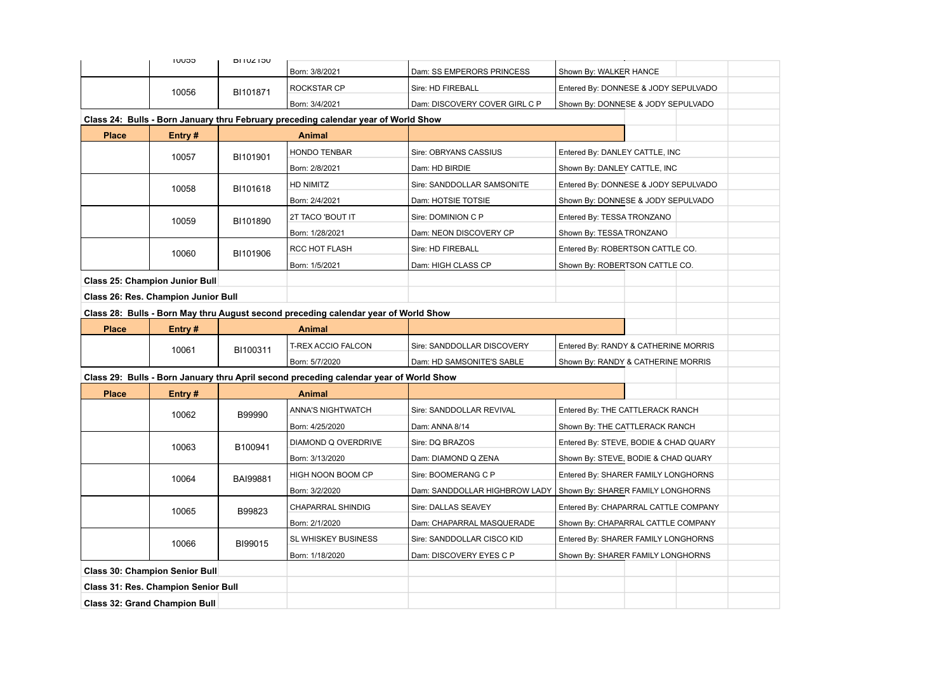|                                      | CCUUT                                      | <b>BITUZT50</b> |                                                                                        |                               |                                       |  |  |
|--------------------------------------|--------------------------------------------|-----------------|----------------------------------------------------------------------------------------|-------------------------------|---------------------------------------|--|--|
|                                      |                                            |                 | Born: 3/8/2021                                                                         | Dam: SS EMPERORS PRINCESS     | Shown By: WALKER HANCE                |  |  |
|                                      | 10056                                      | BI101871        | ROCKSTAR CP                                                                            | Sire: HD FIREBALL             | Entered By: DONNESE & JODY SEPULVADO  |  |  |
|                                      |                                            |                 | Born: 3/4/2021                                                                         | Dam: DISCOVERY COVER GIRL C P | Shown By: DONNESE & JODY SEPULVADO    |  |  |
|                                      |                                            |                 | Class 24: Bulls - Born January thru February preceding calendar year of World Show     |                               |                                       |  |  |
| <b>Place</b>                         | Entry#                                     |                 | Animal                                                                                 |                               |                                       |  |  |
|                                      | 10057                                      | BI101901        | <b>HONDO TENBAR</b>                                                                    | Sire: OBRYANS CASSIUS         | Entered By: DANLEY CATTLE, INC        |  |  |
|                                      |                                            |                 | Born: 2/8/2021                                                                         | Dam: HD BIRDIE                | Shown By: DANLEY CATTLE, INC          |  |  |
|                                      | 10058                                      | BI101618        | HD NIMITZ                                                                              | Sire: SANDDOLLAR SAMSONITE    | Entered By: DONNESE & JODY SEPULVADO  |  |  |
|                                      |                                            |                 | Born: 2/4/2021                                                                         | Dam: HOTSIE TOTSIE            | Shown By: DONNESE & JODY SEPULVADO    |  |  |
|                                      | 10059                                      | BI101890        | 2T TACO 'BOUT IT                                                                       | Sire: DOMINION C P            | Entered By: TESSA TRONZANO            |  |  |
|                                      |                                            |                 | Born: 1/28/2021                                                                        | Dam: NEON DISCOVERY CP        | Shown By: TESSA TRONZANO              |  |  |
|                                      | 10060                                      | BI101906        | RCC HOT FLASH                                                                          | Sire: HD FIREBALL             | Entered By: ROBERTSON CATTLE CO.      |  |  |
|                                      |                                            |                 | Born: 1/5/2021                                                                         | Dam: HIGH CLASS CP            | Shown By: ROBERTSON CATTLE CO.        |  |  |
|                                      | <b>Class 25: Champion Junior Bull</b>      |                 |                                                                                        |                               |                                       |  |  |
| Class 26: Res. Champion Junior Bull  |                                            |                 |                                                                                        |                               |                                       |  |  |
|                                      |                                            |                 | Class 28: Bulls - Born May thru August second preceding calendar year of World Show    |                               |                                       |  |  |
| <b>Place</b>                         | Entry #                                    |                 | <b>Animal</b>                                                                          |                               |                                       |  |  |
|                                      | 10061                                      | BI100311        | T-REX ACCIO FALCON                                                                     | Sire: SANDDOLLAR DISCOVERY    | Entered By: RANDY & CATHERINE MORRIS  |  |  |
|                                      |                                            |                 | Born: 5/7/2020                                                                         | Dam: HD SAMSONITE'S SABLE     | Shown By: RANDY & CATHERINE MORRIS    |  |  |
|                                      |                                            |                 | Class 29: Bulls - Born January thru April second preceding calendar year of World Show |                               |                                       |  |  |
| <b>Place</b>                         | Entry#                                     |                 | <b>Animal</b>                                                                          |                               |                                       |  |  |
|                                      | 10062                                      | B99990          | <b>ANNA'S NIGHTWATCH</b>                                                               | Sire: SANDDOLLAR REVIVAL      | Entered By: THE CATTLERACK RANCH      |  |  |
|                                      |                                            |                 | Born: 4/25/2020                                                                        | Dam: ANNA 8/14                | Shown By: THE CATTLERACK RANCH        |  |  |
|                                      | 10063                                      | B100941         | DIAMOND Q OVERDRIVE                                                                    | Sire: DQ BRAZOS               | Entered By: STEVE, BODIE & CHAD QUARY |  |  |
|                                      |                                            |                 | Born: 3/13/2020                                                                        | Dam: DIAMOND Q ZENA           | Shown By: STEVE, BODIE & CHAD QUARY   |  |  |
|                                      | 10064                                      | <b>BAI99881</b> | HIGH NOON BOOM CP                                                                      | Sire: BOOMERANG C P           | Entered By: SHARER FAMILY LONGHORNS   |  |  |
|                                      |                                            |                 | Born: 3/2/2020                                                                         | Dam: SANDDOLLAR HIGHBROW LADY | Shown By: SHARER FAMILY LONGHORNS     |  |  |
|                                      | 10065                                      | B99823          | <b>CHAPARRAL SHINDIG</b>                                                               | Sire: DALLAS SEAVEY           | Entered By: CHAPARRAL CATTLE COMPANY  |  |  |
|                                      |                                            |                 | Born: 2/1/2020                                                                         | Dam: CHAPARRAL MASQUERADE     | Shown By: CHAPARRAL CATTLE COMPANY    |  |  |
|                                      | 10066                                      | BI99015         | SL WHISKEY BUSINESS                                                                    | Sire: SANDDOLLAR CISCO KID    | Entered By: SHARER FAMILY LONGHORNS   |  |  |
|                                      |                                            |                 | Born: 1/18/2020                                                                        | Dam: DISCOVERY EYES C P       | Shown By: SHARER FAMILY LONGHORNS     |  |  |
|                                      | <b>Class 30: Champion Senior Bull</b>      |                 |                                                                                        |                               |                                       |  |  |
|                                      | <b>Class 31: Res. Champion Senior Bull</b> |                 |                                                                                        |                               |                                       |  |  |
| <b>Class 32: Grand Champion Bull</b> |                                            |                 |                                                                                        |                               |                                       |  |  |